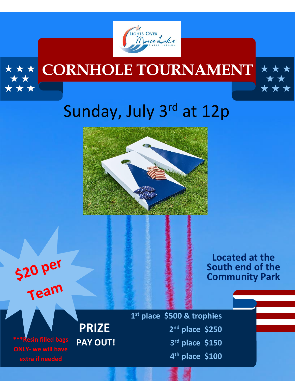

## **CORNHOLE TOURNAMENT**



## Sunday, July 3rd at 12p





\* \*

**1 st place \$500 & trophies nd place \$250 PAY OUT! 3 rd place \$150 4 th place \$100**

**Located at the South end of the Community Park**

**\*\*\*Resin filled bags ONLY- we will have extra if needed**

**PRIZE<sup>2</sup>**